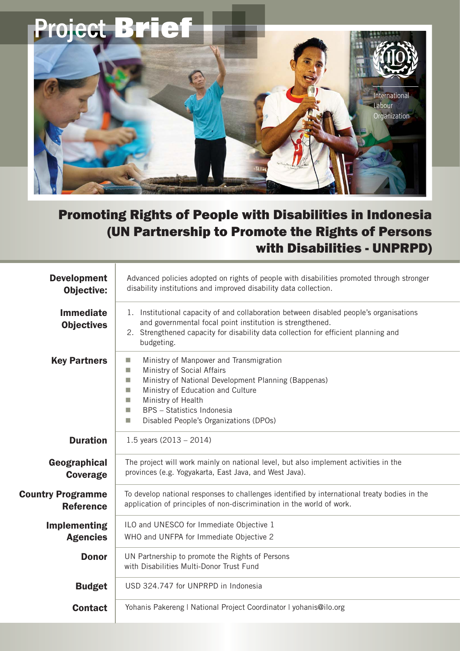# **Project Br**



## Promoting Rights of People with Disabilities in Indonesia (UN Partnership to Promote the Rights of Persons with Disabilities - UNPRPD)

| <b>Development</b><br><b>Objective:</b>      | Advanced policies adopted on rights of people with disabilities promoted through stronger<br>disability institutions and improved disability data collection.                                                                                                                                                  |
|----------------------------------------------|----------------------------------------------------------------------------------------------------------------------------------------------------------------------------------------------------------------------------------------------------------------------------------------------------------------|
| <b>Immediate</b><br><b>Objectives</b>        | 1. Institutional capacity of and collaboration between disabled people's organisations<br>and governmental focal point institution is strengthened.<br>2. Strengthened capacity for disability data collection for efficient planning and<br>budgeting.                                                        |
| <b>Key Partners</b>                          | Ministry of Manpower and Transmigration<br>$\Box$<br>Ministry of Social Affairs<br>H.<br>Ministry of National Development Planning (Bappenas)<br>H.<br>Ministry of Education and Culture<br>m.<br>Ministry of Health<br>H.<br>BPS - Statistics Indonesia<br>H.<br>Disabled People's Organizations (DPOs)<br>H. |
| <b>Duration</b>                              | 1.5 years $(2013 - 2014)$                                                                                                                                                                                                                                                                                      |
| Geographical<br><b>Coverage</b>              | The project will work mainly on national level, but also implement activities in the<br>provinces (e.g. Yogyakarta, East Java, and West Java).                                                                                                                                                                 |
| <b>Country Programme</b><br><b>Reference</b> | To develop national responses to challenges identified by international treaty bodies in the<br>application of principles of non-discrimination in the world of work.                                                                                                                                          |
| <b>Implementing</b><br><b>Agencies</b>       | ILO and UNESCO for Immediate Objective 1<br>WHO and UNFPA for Immediate Objective 2                                                                                                                                                                                                                            |
| <b>Donor</b>                                 | UN Partnership to promote the Rights of Persons<br>with Disabilities Multi-Donor Trust Fund                                                                                                                                                                                                                    |
| <b>Budget</b>                                | USD 324.747 for UNPRPD in Indonesia                                                                                                                                                                                                                                                                            |
| <b>Contact</b>                               | Yohanis Pakereng   National Project Coordinator   yohanis@ilo.org                                                                                                                                                                                                                                              |